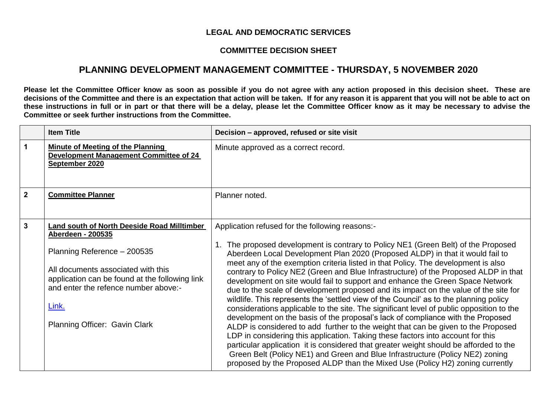## **LEGAL AND DEMOCRATIC SERVICES**

## **COMMITTEE DECISION SHEET**

## **PLANNING DEVELOPMENT MANAGEMENT COMMITTEE - THURSDAY, 5 NOVEMBER 2020**

**Please let the Committee Officer know as soon as possible if you do not agree with any action proposed in this decision sheet. These are decisions of the Committee and there is an expectation that action will be taken. If for any reason it is apparent that you will not be able to act on these instructions in full or in part or that there will be a delay, please let the Committee Officer know as it may be necessary to advise the Committee or seek further instructions from the Committee.**

|                | <b>Item Title</b>                                                                                                                                                                                                                                                                | Decision - approved, refused or site visit                                                                                                                                                                                                                                                                                                                                                                                                                                                                                                                                                                                                                                                                                                                                                                                                                                                                                                                                                                                                                                                                                                                                                                                                                                             |
|----------------|----------------------------------------------------------------------------------------------------------------------------------------------------------------------------------------------------------------------------------------------------------------------------------|----------------------------------------------------------------------------------------------------------------------------------------------------------------------------------------------------------------------------------------------------------------------------------------------------------------------------------------------------------------------------------------------------------------------------------------------------------------------------------------------------------------------------------------------------------------------------------------------------------------------------------------------------------------------------------------------------------------------------------------------------------------------------------------------------------------------------------------------------------------------------------------------------------------------------------------------------------------------------------------------------------------------------------------------------------------------------------------------------------------------------------------------------------------------------------------------------------------------------------------------------------------------------------------|
| 1              | <b>Minute of Meeting of the Planning</b><br><b>Development Management Committee of 24</b><br>September 2020                                                                                                                                                                      | Minute approved as a correct record.                                                                                                                                                                                                                                                                                                                                                                                                                                                                                                                                                                                                                                                                                                                                                                                                                                                                                                                                                                                                                                                                                                                                                                                                                                                   |
| $\overline{2}$ | <b>Committee Planner</b>                                                                                                                                                                                                                                                         | Planner noted.                                                                                                                                                                                                                                                                                                                                                                                                                                                                                                                                                                                                                                                                                                                                                                                                                                                                                                                                                                                                                                                                                                                                                                                                                                                                         |
| $\mathbf{3}$   | Land south of North Deeside Road Milltimber<br><b>Aberdeen - 200535</b><br>Planning Reference - 200535<br>All documents associated with this<br>application can be found at the following link<br>and enter the refence number above:-<br>Link.<br>Planning Officer: Gavin Clark | Application refused for the following reasons:-<br>1. The proposed development is contrary to Policy NE1 (Green Belt) of the Proposed<br>Aberdeen Local Development Plan 2020 (Proposed ALDP) in that it would fail to<br>meet any of the exemption criteria listed in that Policy. The development is also<br>contrary to Policy NE2 (Green and Blue Infrastructure) of the Proposed ALDP in that<br>development on site would fail to support and enhance the Green Space Network<br>due to the scale of development proposed and its impact on the value of the site for<br>wildlife. This represents the 'settled view of the Council' as to the planning policy<br>considerations applicable to the site. The significant level of public opposition to the<br>development on the basis of the proposal's lack of compliance with the Proposed<br>ALDP is considered to add further to the weight that can be given to the Proposed<br>LDP in considering this application. Taking these factors into account for this<br>particular application it is considered that greater weight should be afforded to the<br>Green Belt (Policy NE1) and Green and Blue Infrastructure (Policy NE2) zoning<br>proposed by the Proposed ALDP than the Mixed Use (Policy H2) zoning currently |